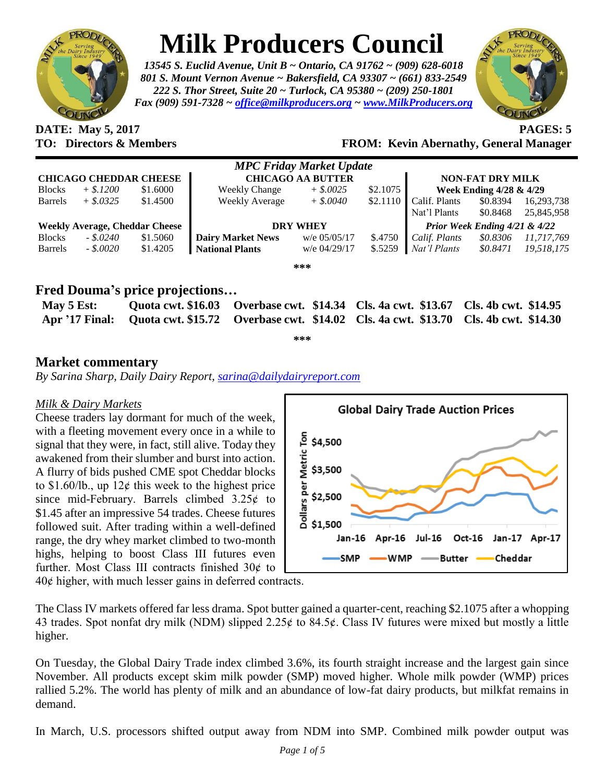

# **Milk Producers Council**

*13545 S. Euclid Avenue, Unit B ~ Ontario, CA 91762 ~ (909) 628-6018 801 S. Mount Vernon Avenue ~ Bakersfield, CA 93307 ~ (661) 833-2549 222 S. Thor Street, Suite 20 ~ Turlock, CA 95380 ~ (209) 250-1801 Fax (909) 591-7328 ~ [office@milkproducers.org](mailto:office@milkproducers.org) ~ [www.MilkProducers.org](http://www.milkproducers.org/)*



**DATE: May 5, 2017 PAGES: 5**

### **TO: Directors & Members FROM: Kevin Abernathy, General Manager**

| <b>MPC Friday Market Update</b>       |              |          |                          |                |          |                                    |          |            |  |  |
|---------------------------------------|--------------|----------|--------------------------|----------------|----------|------------------------------------|----------|------------|--|--|
| <b>CHICAGO CHEDDAR CHEESE</b>         |              |          | <b>CHICAGO AA BUTTER</b> |                |          | <b>NON-FAT DRY MILK</b>            |          |            |  |  |
| <b>Blocks</b>                         | $+$ \$.1200  | \$1.6000 | <b>Weekly Change</b>     | $+$ \$.0025    | \$2.1075 | <b>Week Ending 4/28 &amp; 4/29</b> |          |            |  |  |
| <b>Barrels</b>                        | $+$ \$.0325  | \$1.4500 | Weekly Average           | $+$ \$.0040    | \$2.1110 | Calif. Plants                      | \$0.8394 | 16,293,738 |  |  |
|                                       |              |          |                          |                |          | Nat'l Plants                       | \$0.8468 | 25,845,958 |  |  |
| <b>Weekly Average, Cheddar Cheese</b> |              |          | <b>DRY WHEY</b>          |                |          | Prior Week Ending 4/21 & 4/22      |          |            |  |  |
| <b>Blocks</b>                         | $-.$ \$.0240 | \$1.5060 | <b>Dairy Market News</b> | $w/e$ 05/05/17 | \$.4750  | Calif. Plants                      | \$0.8306 | 11,717,769 |  |  |
| <b>Barrels</b>                        | $-.8.0020$   | \$1.4205 | <b>National Plants</b>   | w/e 04/29/17   | \$.5259  | Nat'l Plants                       | \$0.8471 | 19,518,175 |  |  |
|                                       |              |          |                          | ***            |          |                                    |          |            |  |  |

## **Fred Douma's price projections…**

| May $5$ Est: |  | Quota cwt. \$16.03 Overbase cwt. \$14.34 Cls. 4a cwt. \$13.67 Cls. 4b cwt. \$14.95                |  |
|--------------|--|---------------------------------------------------------------------------------------------------|--|
|              |  | Apr '17 Final: Quota cwt. \$15.72 Overbase cwt. \$14.02 Cls. 4a cwt. \$13.70 Cls. 4b cwt. \$14.30 |  |

**\*\*\***

## **Market commentary**

*By Sarina Sharp, Daily Dairy Report, [sarina@dailydairyreport.com](mailto:sarina@dailydairyreport.com)*

#### *Milk & Dairy Markets*

Cheese traders lay dormant for much of the week, with a fleeting movement every once in a while to signal that they were, in fact, still alive. Today they awakened from their slumber and burst into action. A flurry of bids pushed CME spot Cheddar blocks to  $$1.60/lb$ , up  $12¢$  this week to the highest price since mid-February. Barrels climbed  $3.25¢$  to \$1.45 after an impressive 54 trades. Cheese futures followed suit. After trading within a well-defined range, the dry whey market climbed to two-month highs, helping to boost Class III futures even further. Most Class III contracts finished  $30¢$  to



 $40¢$  higher, with much lesser gains in deferred contracts.

The Class IV markets offered far less drama. Spot butter gained a quarter-cent, reaching \$2.1075 after a whopping 43 trades. Spot nonfat dry milk (NDM) slipped 2.25¢ to 84.5¢. Class IV futures were mixed but mostly a little higher.

On Tuesday, the Global Dairy Trade index climbed 3.6%, its fourth straight increase and the largest gain since November. All products except skim milk powder (SMP) moved higher. Whole milk powder (WMP) prices rallied 5.2%. The world has plenty of milk and an abundance of low-fat dairy products, but milkfat remains in demand.

In March, U.S. processors shifted output away from NDM into SMP. Combined milk powder output was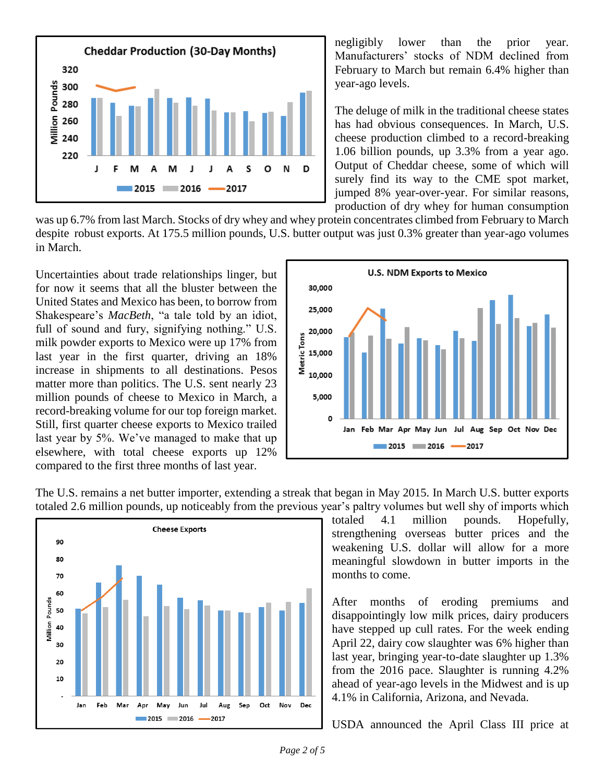

negligibly lower than the prior year. Manufacturers' stocks of NDM declined from February to March but remain 6.4% higher than year-ago levels.

The deluge of milk in the traditional cheese states has had obvious consequences. In March, U.S. cheese production climbed to a record-breaking 1.06 billion pounds, up 3.3% from a year ago. Output of Cheddar cheese, some of which will surely find its way to the CME spot market, jumped 8% year-over-year. For similar reasons, production of dry whey for human consumption

was up 6.7% from last March. Stocks of dry whey and whey protein concentrates climbed from February to March despite robust exports. At 175.5 million pounds, U.S. butter output was just 0.3% greater than year-ago volumes in March.

Uncertainties about trade relationships linger, but for now it seems that all the bluster between the United States and Mexico has been, to borrow from Shakespeare's *MacBeth*, "a tale told by an idiot, full of sound and fury, signifying nothing." U.S. milk powder exports to Mexico were up 17% from last year in the first quarter, driving an 18% increase in shipments to all destinations. Pesos matter more than politics. The U.S. sent nearly 23 million pounds of cheese to Mexico in March, a record-breaking volume for our top foreign market. Still, first quarter cheese exports to Mexico trailed last year by 5%. We've managed to make that up elsewhere, with total cheese exports up 12% compared to the first three months of last year.



The U.S. remains a net butter importer, extending a streak that began in May 2015. In March U.S. butter exports totaled 2.6 million pounds, up noticeably from the previous year's paltry volumes but well shy of imports which



totaled 4.1 million pounds. Hopefully, strengthening overseas butter prices and the weakening U.S. dollar will allow for a more meaningful slowdown in butter imports in the months to come.

After months of eroding premiums and disappointingly low milk prices, dairy producers have stepped up cull rates. For the week ending April 22, dairy cow slaughter was 6% higher than last year, bringing year-to-date slaughter up 1.3% from the 2016 pace. Slaughter is running 4.2% ahead of year-ago levels in the Midwest and is up 4.1% in California, Arizona, and Nevada.

USDA announced the April Class III price at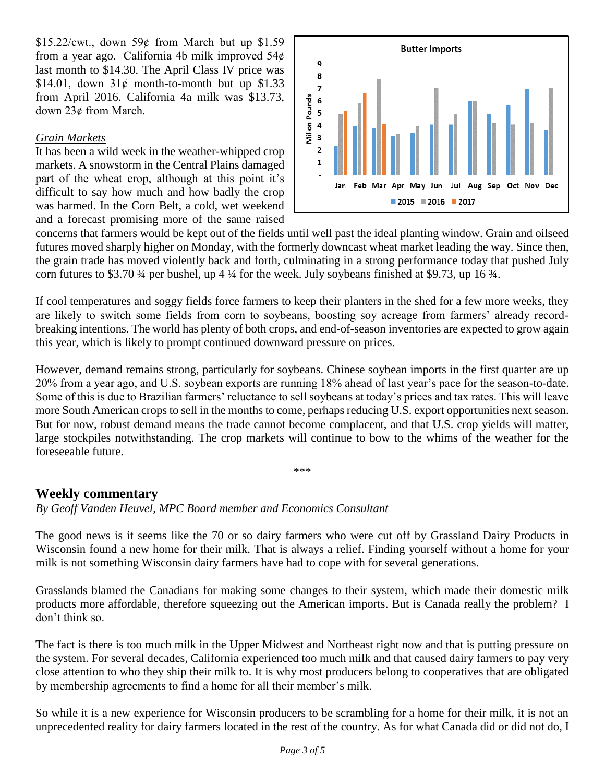\$15.22/cwt., down  $59¢$  from March but up \$1.59 from a year ago. California 4b milk improved  $54¢$ last month to \$14.30. The April Class IV price was \$14.01, down  $31¢$  month-to-month but up \$1.33 from April 2016. California 4a milk was \$13.73, down 23¢ from March.

#### *Grain Markets*

It has been a wild week in the weather-whipped crop markets. A snowstorm in the Central Plains damaged part of the wheat crop, although at this point it's difficult to say how much and how badly the crop was harmed. In the Corn Belt, a cold, wet weekend and a forecast promising more of the same raised



concerns that farmers would be kept out of the fields until well past the ideal planting window. Grain and oilseed futures moved sharply higher on Monday, with the formerly downcast wheat market leading the way. Since then, the grain trade has moved violently back and forth, culminating in a strong performance today that pushed July corn futures to \$3.70 ¾ per bushel, up 4 ¼ for the week. July soybeans finished at \$9.73, up 16 ¾.

If cool temperatures and soggy fields force farmers to keep their planters in the shed for a few more weeks, they are likely to switch some fields from corn to soybeans, boosting soy acreage from farmers' already recordbreaking intentions. The world has plenty of both crops, and end-of-season inventories are expected to grow again this year, which is likely to prompt continued downward pressure on prices.

However, demand remains strong, particularly for soybeans. Chinese soybean imports in the first quarter are up 20% from a year ago, and U.S. soybean exports are running 18% ahead of last year's pace for the season-to-date. Some of this is due to Brazilian farmers' reluctance to sell soybeans at today's prices and tax rates. This will leave more South American crops to sell in the months to come, perhaps reducing U.S. export opportunities next season. But for now, robust demand means the trade cannot become complacent, and that U.S. crop yields will matter, large stockpiles notwithstanding. The crop markets will continue to bow to the whims of the weather for the foreseeable future.

\*\*\*

#### **Weekly commentary**

*By Geoff Vanden Heuvel, MPC Board member and Economics Consultant*

The good news is it seems like the 70 or so dairy farmers who were cut off by Grassland Dairy Products in Wisconsin found a new home for their milk. That is always a relief. Finding yourself without a home for your milk is not something Wisconsin dairy farmers have had to cope with for several generations.

Grasslands blamed the Canadians for making some changes to their system, which made their domestic milk products more affordable, therefore squeezing out the American imports. But is Canada really the problem? I don't think so.

The fact is there is too much milk in the Upper Midwest and Northeast right now and that is putting pressure on the system. For several decades, California experienced too much milk and that caused dairy farmers to pay very close attention to who they ship their milk to. It is why most producers belong to cooperatives that are obligated by membership agreements to find a home for all their member's milk.

So while it is a new experience for Wisconsin producers to be scrambling for a home for their milk, it is not an unprecedented reality for dairy farmers located in the rest of the country. As for what Canada did or did not do, I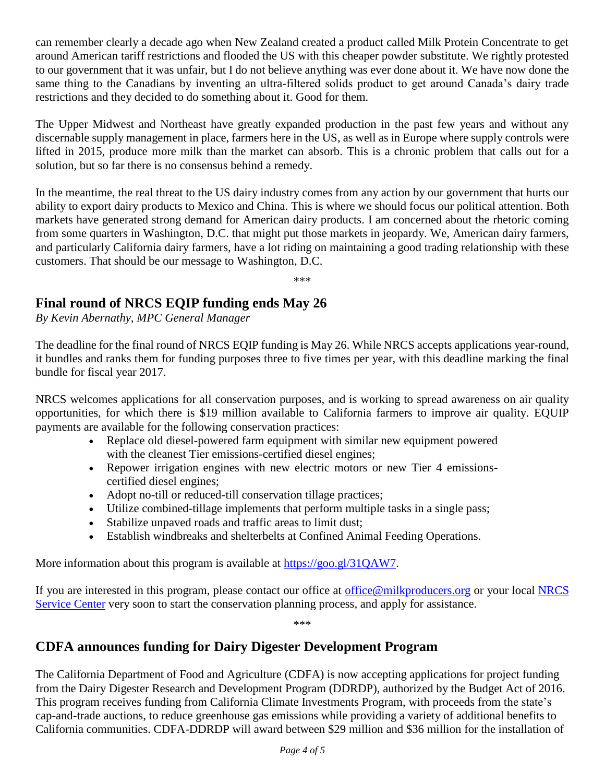can remember clearly a decade ago when New Zealand created a product called Milk Protein Concentrate to get around American tariff restrictions and flooded the US with this cheaper powder substitute. We rightly protested to our government that it was unfair, but I do not believe anything was ever done about it. We have now done the same thing to the Canadians by inventing an ultra-filtered solids product to get around Canada's dairy trade restrictions and they decided to do something about it. Good for them.

The Upper Midwest and Northeast have greatly expanded production in the past few years and without any discernable supply management in place, farmers here in the US, as well as in Europe where supply controls were lifted in 2015, produce more milk than the market can absorb. This is a chronic problem that calls out for a solution, but so far there is no consensus behind a remedy.

In the meantime, the real threat to the US dairy industry comes from any action by our government that hurts our ability to export dairy products to Mexico and China. This is where we should focus our political attention. Both markets have generated strong demand for American dairy products. I am concerned about the rhetoric coming from some quarters in Washington, D.C. that might put those markets in jeopardy. We, American dairy farmers, and particularly California dairy farmers, have a lot riding on maintaining a good trading relationship with these customers. That should be our message to Washington, D.C.

\*\*\*

## **Final round of NRCS EQIP funding ends May 26**

*By Kevin Abernathy, MPC General Manager*

The deadline for the final round of NRCS EQIP funding is May 26. While NRCS accepts applications year-round, it bundles and ranks them for funding purposes three to five times per year, with this deadline marking the final bundle for fiscal year 2017.

NRCS welcomes applications for all conservation purposes, and is working to spread awareness on air quality opportunities, for which there is \$19 million available to California farmers to improve air quality. EQUIP payments are available for the following conservation practices:

- Replace old diesel-powered farm equipment with similar new equipment powered with the cleanest Tier emissions-certified diesel engines;
- Repower irrigation engines with new electric motors or new Tier 4 emissionscertified diesel engines;
- Adopt no-till or reduced-till conservation tillage practices;
- Utilize combined-tillage implements that perform multiple tasks in a single pass;
- Stabilize unpaved roads and traffic areas to limit dust;
- Establish windbreaks and shelterbelts at Confined Animal Feeding Operations.

More information about this program is available at [https://goo.gl/31QAW7.](https://goo.gl/31QAW7)

If you are interested in this program, please contact our office at [office@milkproducers.org](mailto:office@milkproducers.org) or your local NRCS [Service Center](https://offices.sc.egov.usda.gov/locator/app?agency=nrcs) very soon to start the conservation planning process, and apply for assistance.

\*\*\*

## **CDFA announces funding for Dairy Digester Development Program**

The California Department of Food and Agriculture (CDFA) is now accepting applications for project funding from the Dairy Digester Research and Development Program (DDRDP), authorized by the Budget Act of 2016. This program receives funding from California Climate Investments Program, with proceeds from the state's cap-and-trade auctions, to reduce greenhouse gas emissions while providing a variety of additional benefits to California communities. CDFA-DDRDP will award between \$29 million and \$36 million for the installation of